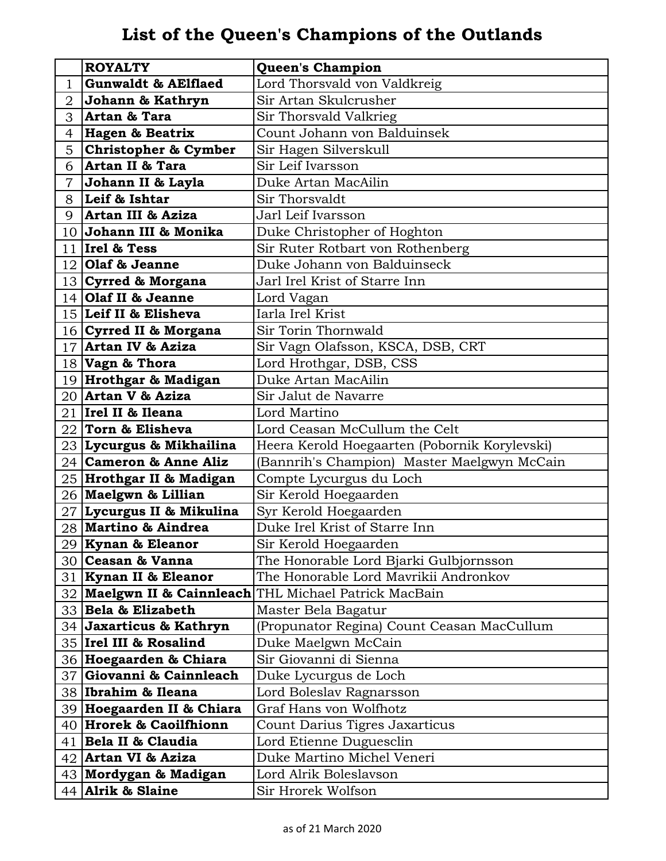## **List of the Queen's Champions of the Outlands**

|             | <b>ROYALTY</b>                  | <b>Queen's Champion</b>                                    |
|-------------|---------------------------------|------------------------------------------------------------|
| $\mathbf 1$ | <b>Gunwaldt &amp; AElflaed</b>  | Lord Thorsvald von Valdkreig                               |
| 2           | Johann & Kathryn                | Sir Artan Skulcrusher                                      |
| 3           | Artan & Tara                    | Sir Thorsvald Valkrieg                                     |
| 4           | <b>Hagen &amp; Beatrix</b>      | Count Johann von Balduinsek                                |
| 5           | <b>Christopher &amp; Cymber</b> | Sir Hagen Silverskull                                      |
| 6           | Artan II & Tara                 | Sir Leif Ivarsson                                          |
| 7           | Johann II & Layla               | Duke Artan MacAilin                                        |
| 8           | Leif & Ishtar                   | Sir Thorsvaldt                                             |
| 9           | Artan III & Aziza               | Jarl Leif Ivarsson                                         |
| 10          | Johann III & Monika             | Duke Christopher of Hoghton                                |
| 11          | Irel & Tess                     | Sir Ruter Rotbart von Rothenberg                           |
| 12          | Olaf & Jeanne                   | Duke Johann von Balduinseck                                |
|             | 13 Cyrred & Morgana             | Jarl Irel Krist of Starre Inn                              |
|             | 14 Olaf II & Jeanne             | Lord Vagan                                                 |
|             | 15 Leif II & Elisheva           | Iarla Irel Krist                                           |
|             | 16 Cyrred II & Morgana          | Sir Torin Thornwald                                        |
| 17          | Artan IV & Aziza                | Sir Vagn Olafsson, KSCA, DSB, CRT                          |
|             | $18$ Vagn & Thora               | Lord Hrothgar, DSB, CSS                                    |
|             | 19 Hrothgar & Madigan           | Duke Artan MacAilin                                        |
| 20          | Artan V & Aziza                 | Sir Jalut de Navarre                                       |
| 21          | Irel II & Ileana                | Lord Martino                                               |
| 22          | Torn & Elisheva                 | Lord Ceasan McCullum the Celt                              |
|             | 23 Lycurgus & Mikhailina        | Heera Kerold Hoegaarten (Pobornik Korylevski)              |
| 24          | <b>Cameron &amp; Anne Aliz</b>  | (Bannrih's Champion) Master Maelgwyn McCain                |
|             | 25 Hrothgar II & Madigan        | Compte Lycurgus du Loch                                    |
|             | 26 Maelgwn & Lillian            | Sir Kerold Hoegaarden                                      |
| 27          | Lycurgus II & Mikulina          | Syr Kerold Hoegaarden                                      |
| 28          | <b>Martino &amp; Aindrea</b>    | Duke Irel Krist of Starre Inn                              |
|             | 29 Kynan & Eleanor              | Sir Kerold Hoegaarden                                      |
| 30          | Ceasan & Vanna                  | The Honorable Lord Bjarki Gulbjornsson                     |
|             | 31 Kynan II & Eleanor           | The Honorable Lord Mavrikii Andronkov                      |
|             |                                 | 32   Maelgwn II & Cainnleach   THL Michael Patrick MacBain |
|             | 33 Bela & Elizabeth             | Master Bela Bagatur                                        |
|             | 34 Jaxarticus & Kathryn         | (Propunator Regina) Count Ceasan MacCullum                 |
|             | 35 Irel III & Rosalind          | Duke Maelgwn McCain                                        |
|             | 36 Hoegaarden & Chiara          | Sir Giovanni di Sienna                                     |
| 37          | Giovanni & Cainnleach           | Duke Lycurgus de Loch                                      |
|             | 38 Ibrahim & Ileana             | Lord Boleslav Ragnarsson                                   |
|             | 39 Hoegaarden II & Chiara       | Graf Hans von Wolfhotz                                     |
|             | 40 Hrorek & Caoilfhionn         | Count Darius Tigres Jaxarticus                             |
| 41          | Bela II & Claudia               | Lord Etienne Duguesclin                                    |
|             | 42 Artan VI & Aziza             | Duke Martino Michel Veneri                                 |
|             | 43 Mordygan & Madigan           | Lord Alrik Boleslavson                                     |
|             | 44 Alrik & Slaine               | Sir Hrorek Wolfson                                         |